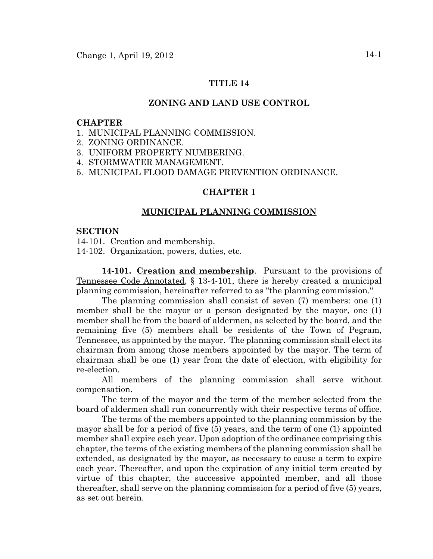## **TITLE 14**

## **ZONING AND LAND USE CONTROL**

#### **CHAPTER**

- 1. MUNICIPAL PLANNING COMMISSION.
- 2. ZONING ORDINANCE.
- 3. UNIFORM PROPERTY NUMBERING.
- 4. STORMWATER MANAGEMENT.
- 5. MUNICIPAL FLOOD DAMAGE PREVENTION ORDINANCE.

## **CHAPTER 1**

#### **MUNICIPAL PLANNING COMMISSION**

#### **SECTION**

14-101. Creation and membership.

14-102. Organization, powers, duties, etc.

**14-101. Creation and membership**. Pursuant to the provisions of Tennessee Code Annotated, § 13-4-101, there is hereby created a municipal planning commission, hereinafter referred to as "the planning commission."

The planning commission shall consist of seven (7) members: one (1) member shall be the mayor or a person designated by the mayor, one (1) member shall be from the board of aldermen, as selected by the board, and the remaining five (5) members shall be residents of the Town of Pegram, Tennessee, as appointed by the mayor. The planning commission shall elect its chairman from among those members appointed by the mayor. The term of chairman shall be one (1) year from the date of election, with eligibility for re-election.

All members of the planning commission shall serve without compensation.

The term of the mayor and the term of the member selected from the board of aldermen shall run concurrently with their respective terms of office.

The terms of the members appointed to the planning commission by the mayor shall be for a period of five (5) years, and the term of one (1) appointed member shall expire each year. Upon adoption of the ordinance comprising this chapter, the terms of the existing members of the planning commission shall be extended, as designated by the mayor, as necessary to cause a term to expire each year. Thereafter, and upon the expiration of any initial term created by virtue of this chapter, the successive appointed member, and all those thereafter, shall serve on the planning commission for a period of five (5) years, as set out herein.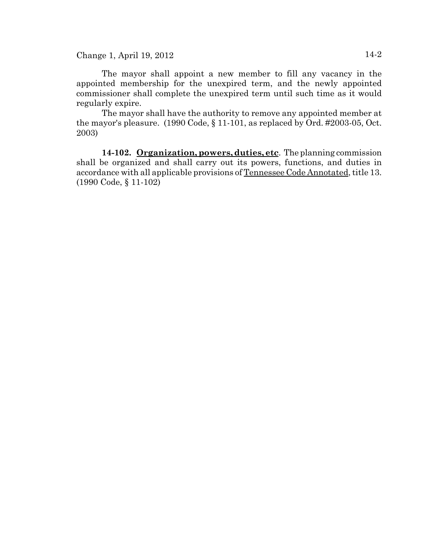The mayor shall appoint a new member to fill any vacancy in the appointed membership for the unexpired term, and the newly appointed commissioner shall complete the unexpired term until such time as it would regularly expire.

The mayor shall have the authority to remove any appointed member at the mayor's pleasure. (1990 Code, § 11-101, as replaced by Ord. #2003-05, Oct. 2003)

**14-102. Organization, powers, duties, etc**. The planning commission shall be organized and shall carry out its powers, functions, and duties in accordance with all applicable provisions of Tennessee Code Annotated, title 13. (1990 Code, § 11-102)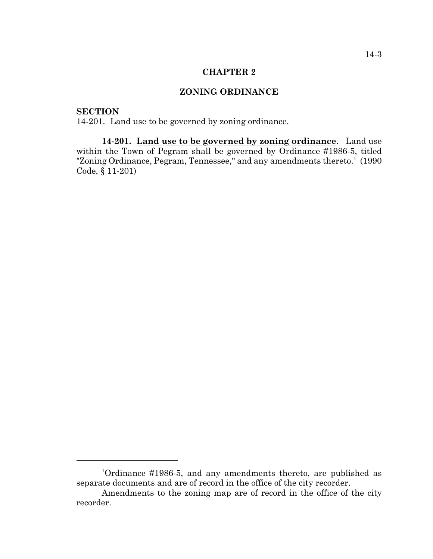#### **CHAPTER 2**

## **ZONING ORDINANCE**

# **SECTION**

14-201. Land use to be governed by zoning ordinance.

**14-201. Land use to be governed by zoning ordinance**. Land use within the Town of Pegram shall be governed by Ordinance #1986-5, titled "Zoning Ordinance, Pegram, Tennessee," and any amendments thereto.<sup>1</sup> (1990 Code, § 11-201)

<sup>1</sup> Ordinance #1986-5, and any amendments thereto, are published as separate documents and are of record in the office of the city recorder.

Amendments to the zoning map are of record in the office of the city recorder.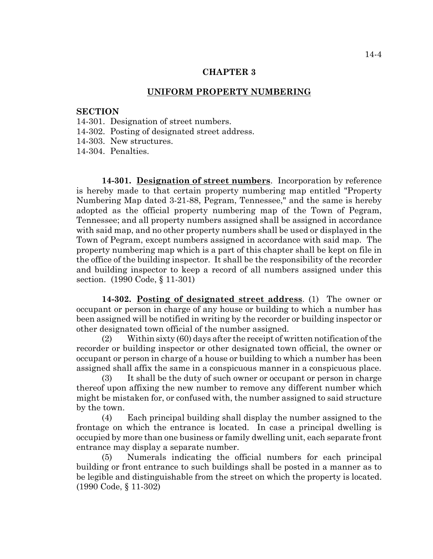#### **CHAPTER 3**

#### **UNIFORM PROPERTY NUMBERING**

#### **SECTION**

- 14-301. Designation of street numbers.
- 14-302. Posting of designated street address.
- 14-303. New structures.

14-304. Penalties.

**14-301. Designation of street numbers**. Incorporation by reference is hereby made to that certain property numbering map entitled "Property Numbering Map dated 3-21-88, Pegram, Tennessee," and the same is hereby adopted as the official property numbering map of the Town of Pegram, Tennessee; and all property numbers assigned shall be assigned in accordance with said map, and no other property numbers shall be used or displayed in the Town of Pegram, except numbers assigned in accordance with said map. The property numbering map which is a part of this chapter shall be kept on file in the office of the building inspector. It shall be the responsibility of the recorder and building inspector to keep a record of all numbers assigned under this section. (1990 Code, § 11-301)

**14-302. Posting of designated street address**. (1) The owner or occupant or person in charge of any house or building to which a number has been assigned will be notified in writing by the recorder or building inspector or other designated town official of the number assigned.

(2) Within sixty (60) days after the receipt of written notification of the recorder or building inspector or other designated town official, the owner or occupant or person in charge of a house or building to which a number has been assigned shall affix the same in a conspicuous manner in a conspicuous place.

(3) It shall be the duty of such owner or occupant or person in charge thereof upon affixing the new number to remove any different number which might be mistaken for, or confused with, the number assigned to said structure by the town.

(4) Each principal building shall display the number assigned to the frontage on which the entrance is located. In case a principal dwelling is occupied by more than one business or family dwelling unit, each separate front entrance may display a separate number.

(5) Numerals indicating the official numbers for each principal building or front entrance to such buildings shall be posted in a manner as to be legible and distinguishable from the street on which the property is located. (1990 Code, § 11-302)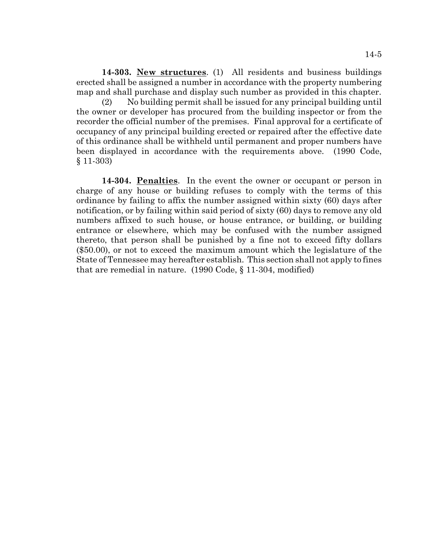**14-303. New structures**. (1) All residents and business buildings erected shall be assigned a number in accordance with the property numbering map and shall purchase and display such number as provided in this chapter.

(2) No building permit shall be issued for any principal building until the owner or developer has procured from the building inspector or from the recorder the official number of the premises. Final approval for a certificate of occupancy of any principal building erected or repaired after the effective date of this ordinance shall be withheld until permanent and proper numbers have been displayed in accordance with the requirements above. (1990 Code, § 11-303)

**14-304. Penalties**. In the event the owner or occupant or person in charge of any house or building refuses to comply with the terms of this ordinance by failing to affix the number assigned within sixty (60) days after notification, or by failing within said period of sixty (60) days to remove any old numbers affixed to such house, or house entrance, or building, or building entrance or elsewhere, which may be confused with the number assigned thereto, that person shall be punished by a fine not to exceed fifty dollars (\$50.00), or not to exceed the maximum amount which the legislature of the State of Tennessee may hereafter establish. This section shall not apply to fines that are remedial in nature. (1990 Code, § 11-304, modified)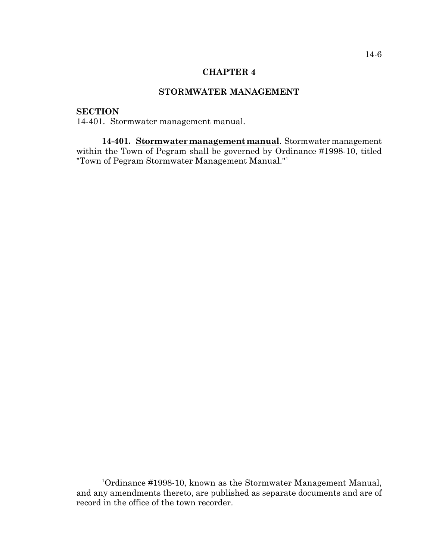## **CHAPTER 4**

# **STORMWATER MANAGEMENT**

# **SECTION**

14-401. Stormwater management manual.

**14-401. Stormwater management manual**. Stormwater management within the Town of Pegram shall be governed by Ordinance #1998-10, titled "Town of Pegram Stormwater Management Manual."1

<sup>&</sup>lt;sup>1</sup>Ordinance #1998-10, known as the Stormwater Management Manual, and any amendments thereto, are published as separate documents and are of record in the office of the town recorder.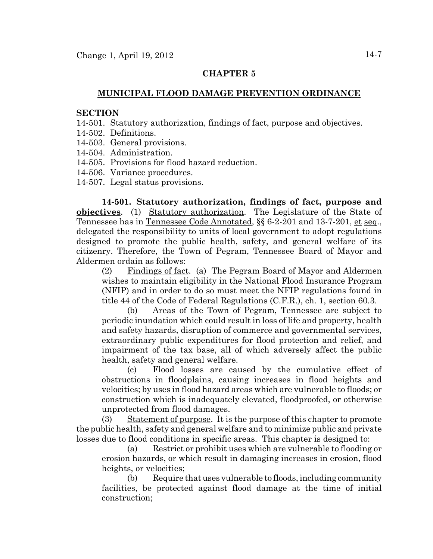## **CHAPTER 5**

## **MUNICIPAL FLOOD DAMAGE PREVENTION ORDINANCE**

#### **SECTION**

- 14-501. Statutory authorization, findings of fact, purpose and objectives.
- 14-502. Definitions.
- 14-503. General provisions.
- 14-504. Administration.
- 14-505. Provisions for flood hazard reduction.
- 14-506. Variance procedures.
- 14-507. Legal status provisions.

**14-501. Statutory authorization, findings of fact, purpose and objectives**. (1) Statutory authorization. The Legislature of the State of Tennessee has in Tennessee Code Annotated, §§ 6-2-201 and 13-7-201, et seq., delegated the responsibility to units of local government to adopt regulations designed to promote the public health, safety, and general welfare of its citizenry. Therefore, the Town of Pegram, Tennessee Board of Mayor and Aldermen ordain as follows:

(2) Findings of fact. (a) The Pegram Board of Mayor and Aldermen wishes to maintain eligibility in the National Flood Insurance Program (NFIP) and in order to do so must meet the NFIP regulations found in title 44 of the Code of Federal Regulations (C.F.R.), ch. 1, section 60.3.

(b) Areas of the Town of Pegram, Tennessee are subject to periodic inundation which could result in loss of life and property, health and safety hazards, disruption of commerce and governmental services, extraordinary public expenditures for flood protection and relief, and impairment of the tax base, all of which adversely affect the public health, safety and general welfare.

(c) Flood losses are caused by the cumulative effect of obstructions in floodplains, causing increases in flood heights and velocities; by uses in flood hazard areas which are vulnerable to floods; or construction which is inadequately elevated, floodproofed, or otherwise unprotected from flood damages.

(3) Statement of purpose. It is the purpose of this chapter to promote the public health, safety and general welfare and to minimize public and private losses due to flood conditions in specific areas. This chapter is designed to:

(a) Restrict or prohibit uses which are vulnerable to flooding or erosion hazards, or which result in damaging increases in erosion, flood heights, or velocities;

(b) Require that uses vulnerable to floods, including community facilities, be protected against flood damage at the time of initial construction;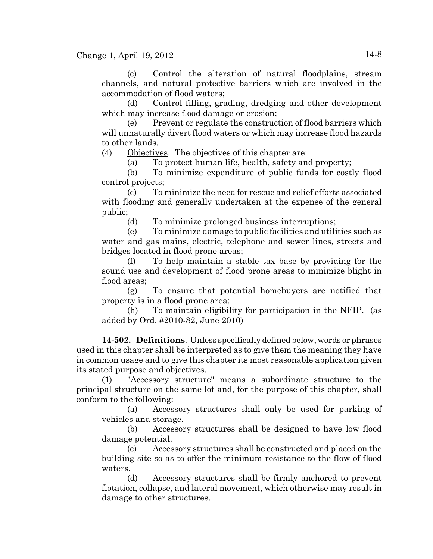(c) Control the alteration of natural floodplains, stream channels, and natural protective barriers which are involved in the accommodation of flood waters;

(d) Control filling, grading, dredging and other development which may increase flood damage or erosion;

(e) Prevent or regulate the construction of flood barriers which will unnaturally divert flood waters or which may increase flood hazards to other lands.

(4) Objectives. The objectives of this chapter are:

(a) To protect human life, health, safety and property;

(b) To minimize expenditure of public funds for costly flood control projects;

(c) To minimize the need for rescue and relief efforts associated with flooding and generally undertaken at the expense of the general public;

(d) To minimize prolonged business interruptions;

(e) To minimize damage to public facilities and utilities such as water and gas mains, electric, telephone and sewer lines, streets and bridges located in flood prone areas;

(f) To help maintain a stable tax base by providing for the sound use and development of flood prone areas to minimize blight in flood areas;

(g) To ensure that potential homebuyers are notified that property is in a flood prone area;

(h) To maintain eligibility for participation in the NFIP. (as added by Ord. #2010-82, June 2010)

**14-502. Definitions**. Unless specifically defined below, words or phrases used in this chapter shall be interpreted as to give them the meaning they have in common usage and to give this chapter its most reasonable application given its stated purpose and objectives.

(1) "Accessory structure" means a subordinate structure to the principal structure on the same lot and, for the purpose of this chapter, shall conform to the following:

(a) Accessory structures shall only be used for parking of vehicles and storage.

(b) Accessory structures shall be designed to have low flood damage potential.

Accessory structures shall be constructed and placed on the building site so as to offer the minimum resistance to the flow of flood waters.

(d) Accessory structures shall be firmly anchored to prevent flotation, collapse, and lateral movement, which otherwise may result in damage to other structures.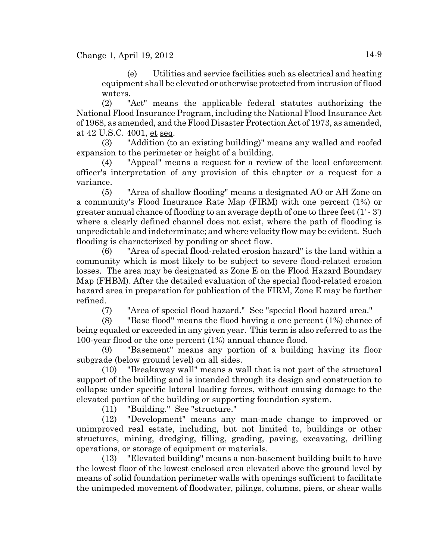(e) Utilities and service facilities such as electrical and heating equipment shall be elevated or otherwise protected from intrusion of flood waters.

(2) "Act" means the applicable federal statutes authorizing the National Flood Insurance Program, including the National Flood Insurance Act of 1968, as amended, and the Flood Disaster Protection Act of 1973, as amended, at 42 U.S.C. 4001, et seq.

(3) "Addition (to an existing building)" means any walled and roofed expansion to the perimeter or height of a building.

(4) "Appeal" means a request for a review of the local enforcement officer's interpretation of any provision of this chapter or a request for a variance.

(5) "Area of shallow flooding" means a designated AO or AH Zone on a community's Flood Insurance Rate Map (FIRM) with one percent (1%) or greater annual chance of flooding to an average depth of one to three feet (1' - 3') where a clearly defined channel does not exist, where the path of flooding is unpredictable and indeterminate; and where velocity flow may be evident. Such flooding is characterized by ponding or sheet flow.

(6) "Area of special flood-related erosion hazard" is the land within a community which is most likely to be subject to severe flood-related erosion losses. The area may be designated as Zone E on the Flood Hazard Boundary Map (FHBM). After the detailed evaluation of the special flood-related erosion hazard area in preparation for publication of the FIRM, Zone E may be further refined.

(7) "Area of special flood hazard." See "special flood hazard area."

(8) "Base flood" means the flood having a one percent (1%) chance of being equaled or exceeded in any given year. This term is also referred to as the 100-year flood or the one percent (1%) annual chance flood.

(9) "Basement" means any portion of a building having its floor subgrade (below ground level) on all sides.

(10) "Breakaway wall" means a wall that is not part of the structural support of the building and is intended through its design and construction to collapse under specific lateral loading forces, without causing damage to the elevated portion of the building or supporting foundation system.

(11) "Building." See "structure."

(12) "Development" means any man-made change to improved or unimproved real estate, including, but not limited to, buildings or other structures, mining, dredging, filling, grading, paving, excavating, drilling operations, or storage of equipment or materials.

(13) "Elevated building" means a non-basement building built to have the lowest floor of the lowest enclosed area elevated above the ground level by means of solid foundation perimeter walls with openings sufficient to facilitate the unimpeded movement of floodwater, pilings, columns, piers, or shear walls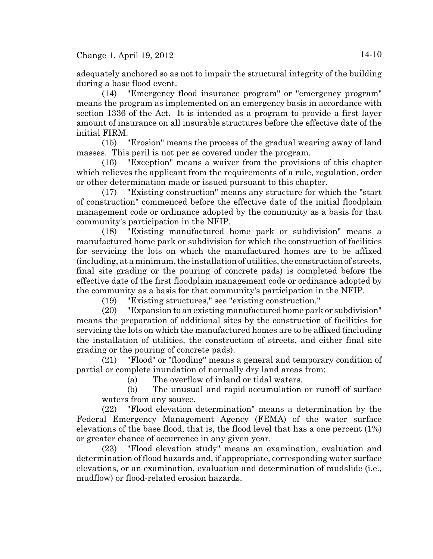adequately anchored so as not to impair the structural integrity of the building during a base flood event.

(14) "Emergency flood insurance program" or "emergency program" means the program as implemented on an emergency basis in accordance with section 1336 of the Act. It is intended as a program to provide a first layer amount of insurance on all insurable structures before the effective date of the initial FIRM.

(15) "Erosion" means the process of the gradual wearing away of land masses. This peril is not per se covered under the program.

(16) "Exception" means a waiver from the provisions of this chapter which relieves the applicant from the requirements of a rule, regulation, order or other determination made or issued pursuant to this chapter.

(17) "Existing construction" means any structure for which the "start of construction" commenced before the effective date of the initial floodplain management code or ordinance adopted by the community as a basis for that community's participation in the NFIP.

(18) "Existing manufactured home park or subdivision" means a manufactured home park or subdivision for which the construction of facilities for servicing the lots on which the manufactured homes are to be affixed (including, at a minimum, the installation of utilities, the construction of streets, final site grading or the pouring of concrete pads) is completed before the effective date of the first floodplain management code or ordinance adopted by the community as a basis for that community's participation in the NFIP.

(19) "Existing structures," see "existing construction."

(20) "Expansion to an existing manufactured home park or subdivision" means the preparation of additional sites by the construction of facilities for servicing the lots on which the manufactured homes are to be affixed (including the installation of utilities, the construction of streets, and either final site grading or the pouring of concrete pads).

(21) "Flood" or "flooding" means a general and temporary condition of partial or complete inundation of normally dry land areas from:

(a) The overflow of inland or tidal waters.

(b) The unusual and rapid accumulation or runoff of surface waters from any source.

(22) "Flood elevation determination" means a determination by the Federal Emergency Management Agency (FEMA) of the water surface elevations of the base flood, that is, the flood level that has a one percent (1%) or greater chance of occurrence in any given year.

(23) "Flood elevation study" means an examination, evaluation and determination of flood hazards and, if appropriate, corresponding water surface elevations, or an examination, evaluation and determination of mudslide (i.e., mudflow) or flood-related erosion hazards.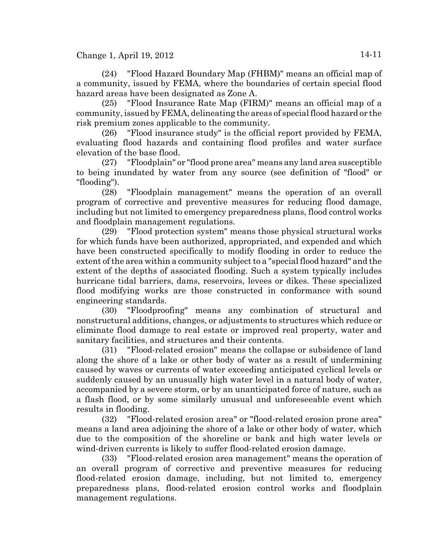(24) "Flood Hazard Boundary Map (FHBM)" means an official map of a community, issued by FEMA, where the boundaries of certain special flood hazard areas have been designated as Zone A.

(25) "Flood Insurance Rate Map (FIRM)" means an official map of a community, issued by FEMA, delineating the areas of special flood hazard or the risk premium zones applicable to the community.

(26) "Flood insurance study" is the official report provided by FEMA, evaluating flood hazards and containing flood profiles and water surface elevation of the base flood.

(27) "Floodplain" or "flood prone area" means any land area susceptible to being inundated by water from any source (see definition of "flood" or "flooding").

(28) "Floodplain management" means the operation of an overall program of corrective and preventive measures for reducing flood damage, including but not limited to emergency preparedness plans, flood control works and floodplain management regulations.

(29) "Flood protection system" means those physical structural works for which funds have been authorized, appropriated, and expended and which have been constructed specifically to modify flooding in order to reduce the extent of the area within a community subject to a "special flood hazard" and the extent of the depths of associated flooding. Such a system typically includes hurricane tidal barriers, dams, reservoirs, levees or dikes. These specialized flood modifying works are those constructed in conformance with sound engineering standards.

(30) "Floodproofing" means any combination of structural and nonstructural additions, changes, or adjustments to structures which reduce or eliminate flood damage to real estate or improved real property, water and sanitary facilities, and structures and their contents.

(31) "Flood-related erosion" means the collapse or subsidence of land along the shore of a lake or other body of water as a result of undermining caused by waves or currents of water exceeding anticipated cyclical levels or suddenly caused by an unusually high water level in a natural body of water, accompanied by a severe storm, or by an unanticipated force of nature, such as a flash flood, or by some similarly unusual and unforeseeable event which results in flooding.

(32) "Flood-related erosion area" or "flood-related erosion prone area" means a land area adjoining the shore of a lake or other body of water, which due to the composition of the shoreline or bank and high water levels or wind-driven currents is likely to suffer flood-related erosion damage.

(33) "Flood-related erosion area management" means the operation of an overall program of corrective and preventive measures for reducing flood-related erosion damage, including, but not limited to, emergency preparedness plans, flood-related erosion control works and floodplain management regulations.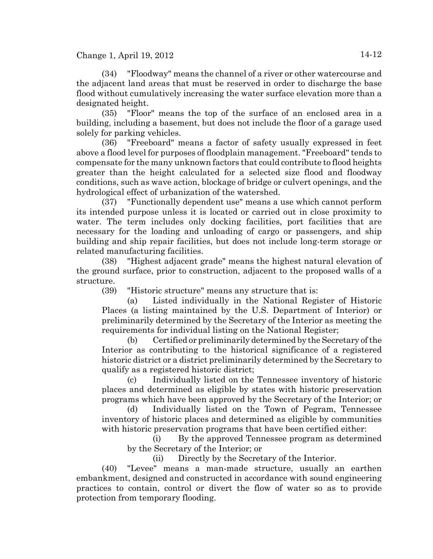(34) "Floodway" means the channel of a river or other watercourse and the adjacent land areas that must be reserved in order to discharge the base flood without cumulatively increasing the water surface elevation more than a designated height.

(35) "Floor" means the top of the surface of an enclosed area in a building, including a basement, but does not include the floor of a garage used solely for parking vehicles.

(36) "Freeboard" means a factor of safety usually expressed in feet above a flood level for purposes of floodplain management. "Freeboard" tends to compensate for the many unknown factors that could contribute to flood heights greater than the height calculated for a selected size flood and floodway conditions, such as wave action, blockage of bridge or culvert openings, and the hydrological effect of urbanization of the watershed.

(37) "Functionally dependent use" means a use which cannot perform its intended purpose unless it is located or carried out in close proximity to water. The term includes only docking facilities, port facilities that are necessary for the loading and unloading of cargo or passengers, and ship building and ship repair facilities, but does not include long-term storage or related manufacturing facilities.

(38) "Highest adjacent grade" means the highest natural elevation of the ground surface, prior to construction, adjacent to the proposed walls of a structure.

(39) "Historic structure" means any structure that is:

(a) Listed individually in the National Register of Historic Places (a listing maintained by the U.S. Department of Interior) or preliminarily determined by the Secretary of the Interior as meeting the requirements for individual listing on the National Register;

(b) Certified or preliminarily determined by the Secretary of the Interior as contributing to the historical significance of a registered historic district or a district preliminarily determined by the Secretary to qualify as a registered historic district;

(c) Individually listed on the Tennessee inventory of historic places and determined as eligible by states with historic preservation programs which have been approved by the Secretary of the Interior; or

(d) Individually listed on the Town of Pegram, Tennessee inventory of historic places and determined as eligible by communities with historic preservation programs that have been certified either:

(i) By the approved Tennessee program as determined by the Secretary of the Interior; or

(ii) Directly by the Secretary of the Interior.

(40) "Levee" means a man-made structure, usually an earthen embankment, designed and constructed in accordance with sound engineering practices to contain, control or divert the flow of water so as to provide protection from temporary flooding.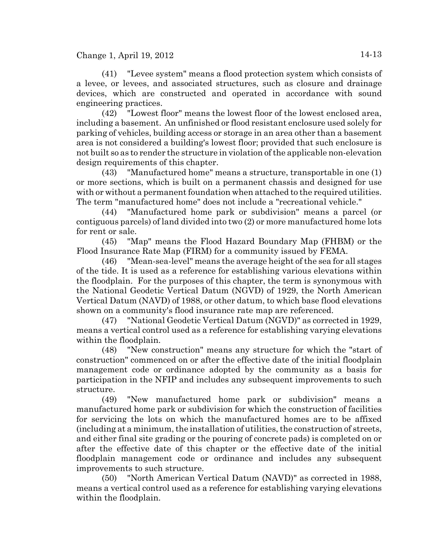(41) "Levee system" means a flood protection system which consists of a levee, or levees, and associated structures, such as closure and drainage devices, which are constructed and operated in accordance with sound engineering practices.

(42) "Lowest floor" means the lowest floor of the lowest enclosed area, including a basement. An unfinished or flood resistant enclosure used solely for parking of vehicles, building access or storage in an area other than a basement area is not considered a building's lowest floor; provided that such enclosure is not built so as to render the structure in violation of the applicable non-elevation design requirements of this chapter.

(43) "Manufactured home" means a structure, transportable in one (1) or more sections, which is built on a permanent chassis and designed for use with or without a permanent foundation when attached to the required utilities. The term "manufactured home" does not include a "recreational vehicle."

(44) "Manufactured home park or subdivision" means a parcel (or contiguous parcels) of land divided into two (2) or more manufactured home lots for rent or sale.

(45) "Map" means the Flood Hazard Boundary Map (FHBM) or the Flood Insurance Rate Map (FIRM) for a community issued by FEMA.

(46) "Mean-sea-level" means the average height of the sea for all stages of the tide. It is used as a reference for establishing various elevations within the floodplain. For the purposes of this chapter, the term is synonymous with the National Geodetic Vertical Datum (NGVD) of 1929, the North American Vertical Datum (NAVD) of 1988, or other datum, to which base flood elevations shown on a community's flood insurance rate map are referenced.

(47) "National Geodetic Vertical Datum (NGVD)" as corrected in 1929, means a vertical control used as a reference for establishing varying elevations within the floodplain.

(48) "New construction" means any structure for which the "start of construction" commenced on or after the effective date of the initial floodplain management code or ordinance adopted by the community as a basis for participation in the NFIP and includes any subsequent improvements to such structure.

(49) "New manufactured home park or subdivision" means a manufactured home park or subdivision for which the construction of facilities for servicing the lots on which the manufactured homes are to be affixed (including at a minimum, the installation of utilities, the construction of streets, and either final site grading or the pouring of concrete pads) is completed on or after the effective date of this chapter or the effective date of the initial floodplain management code or ordinance and includes any subsequent improvements to such structure.

(50) "North American Vertical Datum (NAVD)" as corrected in 1988, means a vertical control used as a reference for establishing varying elevations within the floodplain.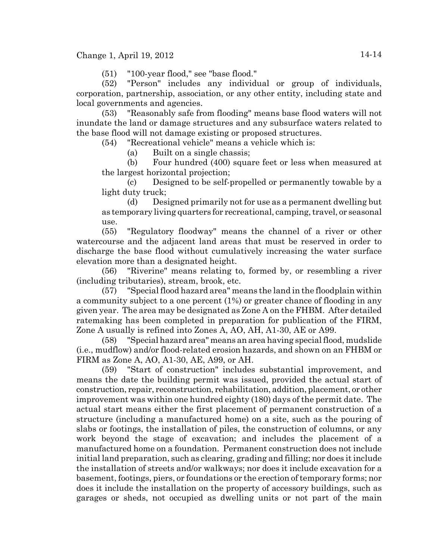(51) "100-year flood," see "base flood."

(52) "Person" includes any individual or group of individuals, corporation, partnership, association, or any other entity, including state and local governments and agencies.

(53) "Reasonably safe from flooding" means base flood waters will not inundate the land or damage structures and any subsurface waters related to the base flood will not damage existing or proposed structures.

(54) "Recreational vehicle" means a vehicle which is:

(a) Built on a single chassis;

(b) Four hundred (400) square feet or less when measured at the largest horizontal projection;

(c) Designed to be self-propelled or permanently towable by a light duty truck;

(d) Designed primarily not for use as a permanent dwelling but as temporary living quarters for recreational, camping, travel, or seasonal use.

(55) "Regulatory floodway" means the channel of a river or other watercourse and the adjacent land areas that must be reserved in order to discharge the base flood without cumulatively increasing the water surface elevation more than a designated height.

(56) "Riverine" means relating to, formed by, or resembling a river (including tributaries), stream, brook, etc.

(57) "Special flood hazard area" means the land in the floodplain within a community subject to a one percent (1%) or greater chance of flooding in any given year. The area may be designated as Zone A on the FHBM. After detailed ratemaking has been completed in preparation for publication of the FIRM, Zone A usually is refined into Zones A, AO, AH, A1-30, AE or A99.

(58) "Special hazard area" means an area having special flood, mudslide (i.e., mudflow) and/or flood-related erosion hazards, and shown on an FHBM or FIRM as Zone A, AO, A1-30, AE, A99, or AH.

(59) "Start of construction" includes substantial improvement, and means the date the building permit was issued, provided the actual start of construction, repair, reconstruction, rehabilitation, addition, placement, or other improvement was within one hundred eighty (180) days of the permit date. The actual start means either the first placement of permanent construction of a structure (including a manufactured home) on a site, such as the pouring of slabs or footings, the installation of piles, the construction of columns, or any work beyond the stage of excavation; and includes the placement of a manufactured home on a foundation. Permanent construction does not include initial land preparation, such as clearing, grading and filling; nor does it include the installation of streets and/or walkways; nor does it include excavation for a basement, footings, piers, or foundations or the erection of temporary forms; nor does it include the installation on the property of accessory buildings, such as garages or sheds, not occupied as dwelling units or not part of the main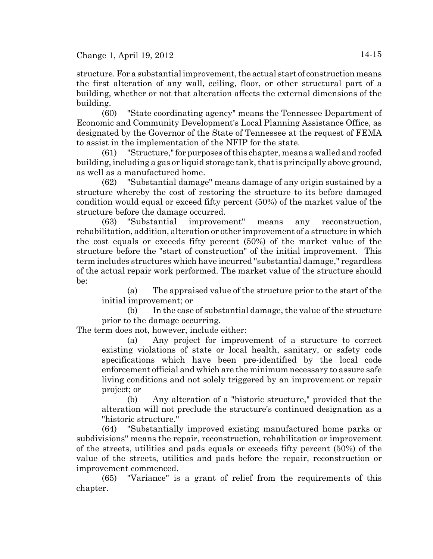structure. For a substantial improvement, the actual start of construction means the first alteration of any wall, ceiling, floor, or other structural part of a building, whether or not that alteration affects the external dimensions of the building.

(60) "State coordinating agency" means the Tennessee Department of Economic and Community Development's Local Planning Assistance Office, as designated by the Governor of the State of Tennessee at the request of FEMA to assist in the implementation of the NFIP for the state.

(61) "Structure," for purposes of this chapter, means a walled and roofed building, including a gas or liquid storage tank, that is principally above ground, as well as a manufactured home.

(62) "Substantial damage" means damage of any origin sustained by a structure whereby the cost of restoring the structure to its before damaged condition would equal or exceed fifty percent (50%) of the market value of the structure before the damage occurred.

(63) "Substantial improvement" means any reconstruction, rehabilitation, addition, alteration or other improvement of a structure in which the cost equals or exceeds fifty percent (50%) of the market value of the structure before the "start of construction" of the initial improvement. This term includes structures which have incurred "substantial damage," regardless of the actual repair work performed. The market value of the structure should be:

(a) The appraised value of the structure prior to the start of the initial improvement; or

(b) In the case of substantial damage, the value of the structure prior to the damage occurring.

The term does not, however, include either:

(a) Any project for improvement of a structure to correct existing violations of state or local health, sanitary, or safety code specifications which have been pre-identified by the local code enforcement official and which are the minimum necessary to assure safe living conditions and not solely triggered by an improvement or repair project; or

(b) Any alteration of a "historic structure," provided that the alteration will not preclude the structure's continued designation as a "historic structure."

(64) "Substantially improved existing manufactured home parks or subdivisions" means the repair, reconstruction, rehabilitation or improvement of the streets, utilities and pads equals or exceeds fifty percent (50%) of the value of the streets, utilities and pads before the repair, reconstruction or improvement commenced.

(65) "Variance" is a grant of relief from the requirements of this chapter.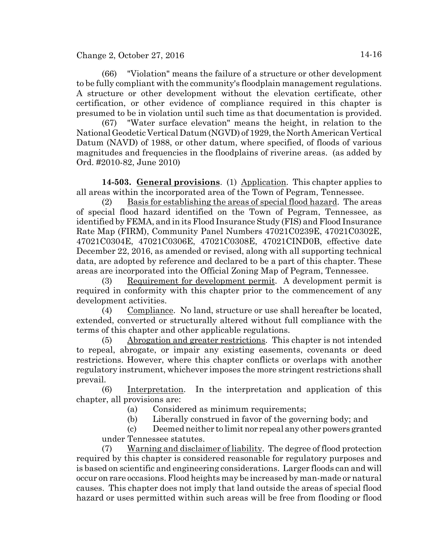Change 2, October 27, 2016 14-16

(66) "Violation" means the failure of a structure or other development to be fully compliant with the community's floodplain management regulations. A structure or other development without the elevation certificate, other certification, or other evidence of compliance required in this chapter is presumed to be in violation until such time as that documentation is provided.

(67) "Water surface elevation" means the height, in relation to the National Geodetic Vertical Datum (NGVD) of 1929, the North American Vertical Datum (NAVD) of 1988, or other datum, where specified, of floods of various magnitudes and frequencies in the floodplains of riverine areas. (as added by Ord. #2010-82, June 2010)

**14-503. General provisions**. (1) Application. This chapter applies to all areas within the incorporated area of the Town of Pegram, Tennessee.

(2) Basis for establishing the areas of special flood hazard. The areas of special flood hazard identified on the Town of Pegram, Tennessee, as identified by FEMA, and in its Flood Insurance Study (FIS) and Flood Insurance Rate Map (FIRM), Community Panel Numbers 47021C0239E, 47021C0302E, 47021C0304E, 47021C0306E, 47021C0308E, 47021CIND0B, effective date December 22, 2016, as amended or revised, along with all supporting technical data, are adopted by reference and declared to be a part of this chapter. These areas are incorporated into the Official Zoning Map of Pegram, Tennessee.

(3) Requirement for development permit. A development permit is required in conformity with this chapter prior to the commencement of any development activities.

(4) Compliance. No land, structure or use shall hereafter be located, extended, converted or structurally altered without full compliance with the terms of this chapter and other applicable regulations.

(5) Abrogation and greater restrictions. This chapter is not intended to repeal, abrogate, or impair any existing easements, covenants or deed restrictions. However, where this chapter conflicts or overlaps with another regulatory instrument, whichever imposes the more stringent restrictions shall prevail.

(6) Interpretation. In the interpretation and application of this chapter, all provisions are:

(a) Considered as minimum requirements;

(b) Liberally construed in favor of the governing body; and

(c) Deemed neither to limit nor repeal any other powers granted under Tennessee statutes.

(7) Warning and disclaimer of liability. The degree of flood protection required by this chapter is considered reasonable for regulatory purposes and is based on scientific and engineering considerations. Larger floods can and will occur on rare occasions. Flood heights may be increased by man-made or natural causes. This chapter does not imply that land outside the areas of special flood hazard or uses permitted within such areas will be free from flooding or flood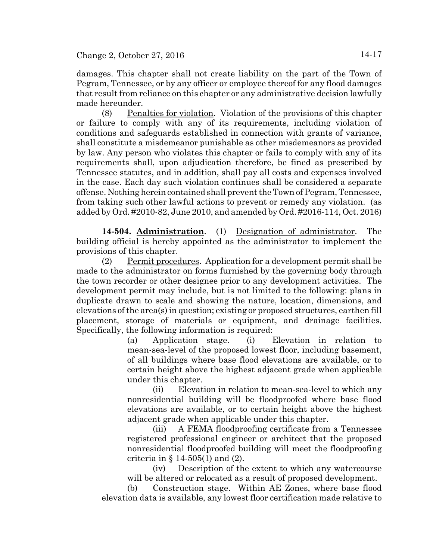damages. This chapter shall not create liability on the part of the Town of Pegram, Tennessee, or by any officer or employee thereof for any flood damages that result from reliance on this chapter or any administrative decision lawfully made hereunder.

(8) Penalties for violation. Violation of the provisions of this chapter or failure to comply with any of its requirements, including violation of conditions and safeguards established in connection with grants of variance, shall constitute a misdemeanor punishable as other misdemeanors as provided by law. Any person who violates this chapter or fails to comply with any of its requirements shall, upon adjudication therefore, be fined as prescribed by Tennessee statutes, and in addition, shall pay all costs and expenses involved in the case. Each day such violation continues shall be considered a separate offense. Nothing herein contained shall prevent the Town of Pegram, Tennessee, from taking such other lawful actions to prevent or remedy any violation. (as added by Ord. #2010-82, June 2010, and amended by Ord. #2016-114, Oct. 2016)

**14-504. Administration**. (1) Designation of administrator. The building official is hereby appointed as the administrator to implement the provisions of this chapter.

(2) Permit procedures. Application for a development permit shall be made to the administrator on forms furnished by the governing body through the town recorder or other designee prior to any development activities. The development permit may include, but is not limited to the following: plans in duplicate drawn to scale and showing the nature, location, dimensions, and elevations of the area(s) in question; existing or proposed structures, earthen fill placement, storage of materials or equipment, and drainage facilities. Specifically, the following information is required:

> (a) Application stage. (i) Elevation in relation to mean-sea-level of the proposed lowest floor, including basement, of all buildings where base flood elevations are available, or to certain height above the highest adjacent grade when applicable under this chapter.

> (ii) Elevation in relation to mean-sea-level to which any nonresidential building will be floodproofed where base flood elevations are available, or to certain height above the highest adjacent grade when applicable under this chapter.

> (iii) A FEMA floodproofing certificate from a Tennessee registered professional engineer or architect that the proposed nonresidential floodproofed building will meet the floodproofing criteria in § 14-505(1) and (2).

> (iv) Description of the extent to which any watercourse will be altered or relocated as a result of proposed development.

(b) Construction stage. Within AE Zones, where base flood elevation data is available, any lowest floor certification made relative to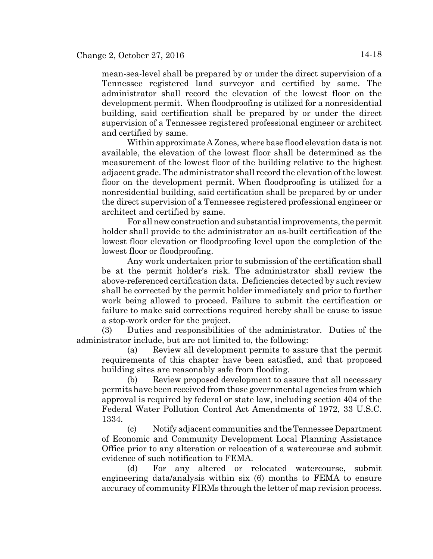mean-sea-level shall be prepared by or under the direct supervision of a Tennessee registered land surveyor and certified by same. The administrator shall record the elevation of the lowest floor on the development permit. When floodproofing is utilized for a nonresidential building, said certification shall be prepared by or under the direct supervision of a Tennessee registered professional engineer or architect and certified by same.

Within approximate A Zones, where base flood elevation data is not available, the elevation of the lowest floor shall be determined as the measurement of the lowest floor of the building relative to the highest adjacent grade. The administrator shall record the elevation of the lowest floor on the development permit. When floodproofing is utilized for a nonresidential building, said certification shall be prepared by or under the direct supervision of a Tennessee registered professional engineer or architect and certified by same.

For all new construction and substantial improvements, the permit holder shall provide to the administrator an as-built certification of the lowest floor elevation or floodproofing level upon the completion of the lowest floor or floodproofing.

Any work undertaken prior to submission of the certification shall be at the permit holder's risk. The administrator shall review the above-referenced certification data. Deficiencies detected by such review shall be corrected by the permit holder immediately and prior to further work being allowed to proceed. Failure to submit the certification or failure to make said corrections required hereby shall be cause to issue a stop-work order for the project.

(3) Duties and responsibilities of the administrator. Duties of the administrator include, but are not limited to, the following:

(a) Review all development permits to assure that the permit requirements of this chapter have been satisfied, and that proposed building sites are reasonably safe from flooding.

(b) Review proposed development to assure that all necessary permits have been received from those governmental agencies from which approval is required by federal or state law, including section 404 of the Federal Water Pollution Control Act Amendments of 1972, 33 U.S.C. 1334.

(c) Notify adjacent communities and the Tennessee Department of Economic and Community Development Local Planning Assistance Office prior to any alteration or relocation of a watercourse and submit evidence of such notification to FEMA.

(d) For any altered or relocated watercourse, submit engineering data/analysis within six (6) months to FEMA to ensure accuracy of community FIRMs through the letter of map revision process.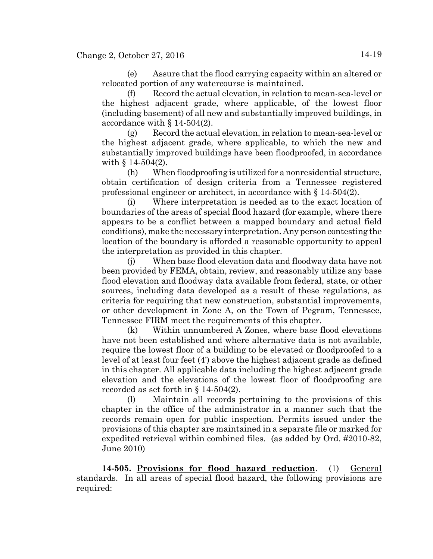(e) Assure that the flood carrying capacity within an altered or relocated portion of any watercourse is maintained.

(f) Record the actual elevation, in relation to mean-sea-level or the highest adjacent grade, where applicable, of the lowest floor (including basement) of all new and substantially improved buildings, in accordance with § 14-504(2).

(g) Record the actual elevation, in relation to mean-sea-level or the highest adjacent grade, where applicable, to which the new and substantially improved buildings have been floodproofed, in accordance with § 14-504(2).

(h) When floodproofing is utilized for a nonresidential structure, obtain certification of design criteria from a Tennessee registered professional engineer or architect, in accordance with § 14-504(2).

(i) Where interpretation is needed as to the exact location of boundaries of the areas of special flood hazard (for example, where there appears to be a conflict between a mapped boundary and actual field conditions), make the necessary interpretation. Any person contesting the location of the boundary is afforded a reasonable opportunity to appeal the interpretation as provided in this chapter.

(j) When base flood elevation data and floodway data have not been provided by FEMA, obtain, review, and reasonably utilize any base flood elevation and floodway data available from federal, state, or other sources, including data developed as a result of these regulations, as criteria for requiring that new construction, substantial improvements, or other development in Zone A, on the Town of Pegram, Tennessee, Tennessee FIRM meet the requirements of this chapter.

(k) Within unnumbered A Zones, where base flood elevations have not been established and where alternative data is not available, require the lowest floor of a building to be elevated or floodproofed to a level of at least four feet (4') above the highest adjacent grade as defined in this chapter. All applicable data including the highest adjacent grade elevation and the elevations of the lowest floor of floodproofing are recorded as set forth in § 14-504(2).

(l) Maintain all records pertaining to the provisions of this chapter in the office of the administrator in a manner such that the records remain open for public inspection. Permits issued under the provisions of this chapter are maintained in a separate file or marked for expedited retrieval within combined files. (as added by Ord. #2010-82, June 2010)

**14-505. Provisions for flood hazard reduction**. (1) General standards. In all areas of special flood hazard, the following provisions are required: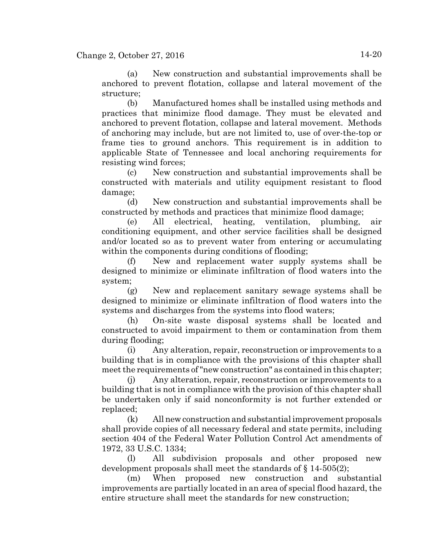(a) New construction and substantial improvements shall be anchored to prevent flotation, collapse and lateral movement of the structure;

(b) Manufactured homes shall be installed using methods and practices that minimize flood damage. They must be elevated and anchored to prevent flotation, collapse and lateral movement. Methods of anchoring may include, but are not limited to, use of over-the-top or frame ties to ground anchors. This requirement is in addition to applicable State of Tennessee and local anchoring requirements for resisting wind forces;

(c) New construction and substantial improvements shall be constructed with materials and utility equipment resistant to flood damage;

(d) New construction and substantial improvements shall be constructed by methods and practices that minimize flood damage;

(e) All electrical, heating, ventilation, plumbing, air conditioning equipment, and other service facilities shall be designed and/or located so as to prevent water from entering or accumulating within the components during conditions of flooding;

(f) New and replacement water supply systems shall be designed to minimize or eliminate infiltration of flood waters into the system;

(g) New and replacement sanitary sewage systems shall be designed to minimize or eliminate infiltration of flood waters into the systems and discharges from the systems into flood waters;

(h) On-site waste disposal systems shall be located and constructed to avoid impairment to them or contamination from them during flooding;

(i) Any alteration, repair, reconstruction or improvements to a building that is in compliance with the provisions of this chapter shall meet the requirements of "new construction" as contained in this chapter;

(j) Any alteration, repair, reconstruction or improvements to a building that is not in compliance with the provision of this chapter shall be undertaken only if said nonconformity is not further extended or replaced;

(k) All new construction and substantial improvement proposals shall provide copies of all necessary federal and state permits, including section 404 of the Federal Water Pollution Control Act amendments of 1972, 33 U.S.C. 1334;

(l) All subdivision proposals and other proposed new development proposals shall meet the standards of § 14-505(2);

(m) When proposed new construction and substantial improvements are partially located in an area of special flood hazard, the entire structure shall meet the standards for new construction;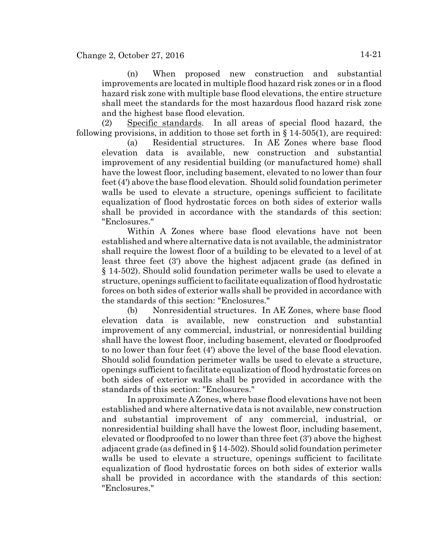(n) When proposed new construction and substantial improvements are located in multiple flood hazard risk zones or in a flood hazard risk zone with multiple base flood elevations, the entire structure shall meet the standards for the most hazardous flood hazard risk zone and the highest base flood elevation.

(2) Specific standards. In all areas of special flood hazard, the following provisions, in addition to those set forth in  $\S$  14-505(1), are required:

(a) Residential structures. In AE Zones where base flood elevation data is available, new construction and substantial improvement of any residential building (or manufactured home) shall have the lowest floor, including basement, elevated to no lower than four feet (4') above the base flood elevation. Should solid foundation perimeter walls be used to elevate a structure, openings sufficient to facilitate equalization of flood hydrostatic forces on both sides of exterior walls shall be provided in accordance with the standards of this section: "Enclosures."

Within A Zones where base flood elevations have not been established and where alternative data is not available, the administrator shall require the lowest floor of a building to be elevated to a level of at least three feet (3') above the highest adjacent grade (as defined in § 14-502). Should solid foundation perimeter walls be used to elevate a structure, openings sufficient to facilitate equalization of flood hydrostatic forces on both sides of exterior walls shall be provided in accordance with the standards of this section: "Enclosures."

(b) Nonresidential structures. In AE Zones, where base flood elevation data is available, new construction and substantial improvement of any commercial, industrial, or nonresidential building shall have the lowest floor, including basement, elevated or floodproofed to no lower than four feet (4') above the level of the base flood elevation. Should solid foundation perimeter walls be used to elevate a structure, openings sufficient to facilitate equalization of flood hydrostatic forces on both sides of exterior walls shall be provided in accordance with the standards of this section: "Enclosures."

In approximate A Zones, where base flood elevations have not been established and where alternative data is not available, new construction and substantial improvement of any commercial, industrial, or nonresidential building shall have the lowest floor, including basement, elevated or floodproofed to no lower than three feet (3') above the highest adjacent grade (as defined in § 14-502). Should solid foundation perimeter walls be used to elevate a structure, openings sufficient to facilitate equalization of flood hydrostatic forces on both sides of exterior walls shall be provided in accordance with the standards of this section: "Enclosures."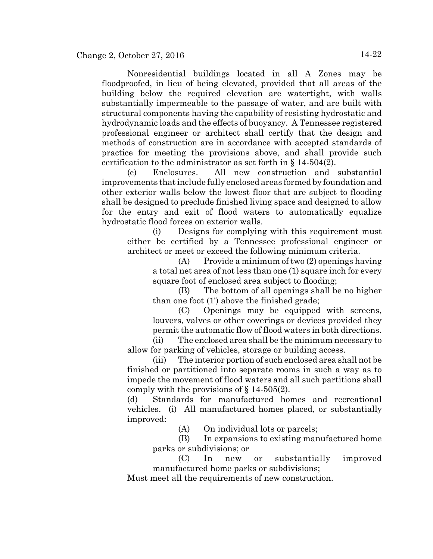Nonresidential buildings located in all A Zones may be floodproofed, in lieu of being elevated, provided that all areas of the building below the required elevation are watertight, with walls substantially impermeable to the passage of water, and are built with structural components having the capability of resisting hydrostatic and hydrodynamic loads and the effects of buoyancy. A Tennessee registered professional engineer or architect shall certify that the design and methods of construction are in accordance with accepted standards of practice for meeting the provisions above, and shall provide such certification to the administrator as set forth in § 14-504(2).

(c) Enclosures. All new construction and substantial improvements that include fully enclosed areas formed by foundation and other exterior walls below the lowest floor that are subject to flooding shall be designed to preclude finished living space and designed to allow for the entry and exit of flood waters to automatically equalize hydrostatic flood forces on exterior walls.

(i) Designs for complying with this requirement must either be certified by a Tennessee professional engineer or architect or meet or exceed the following minimum criteria.

(A) Provide a minimum of two (2) openings having a total net area of not less than one (1) square inch for every square foot of enclosed area subject to flooding;

(B) The bottom of all openings shall be no higher than one foot (1') above the finished grade;

(C) Openings may be equipped with screens, louvers, valves or other coverings or devices provided they permit the automatic flow of flood waters in both directions.

(ii) The enclosed area shall be the minimum necessary to allow for parking of vehicles, storage or building access.

(iii) The interior portion of such enclosed area shall not be finished or partitioned into separate rooms in such a way as to impede the movement of flood waters and all such partitions shall comply with the provisions of § 14-505(2).

(d) Standards for manufactured homes and recreational vehicles. (i) All manufactured homes placed, or substantially improved:

(A) On individual lots or parcels;

(B) In expansions to existing manufactured home parks or subdivisions; or

(C) In new or substantially improved manufactured home parks or subdivisions;

Must meet all the requirements of new construction.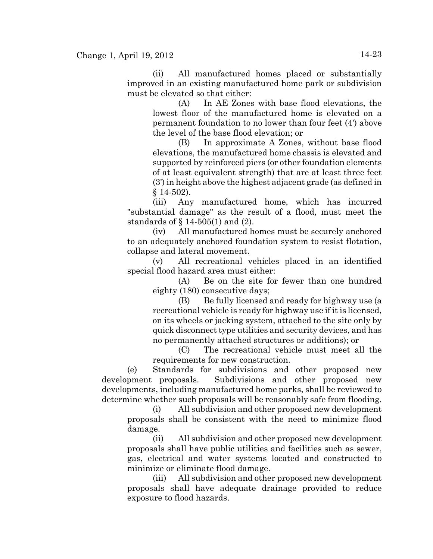(ii) All manufactured homes placed or substantially improved in an existing manufactured home park or subdivision must be elevated so that either:

(A) In AE Zones with base flood elevations, the lowest floor of the manufactured home is elevated on a permanent foundation to no lower than four feet (4') above the level of the base flood elevation; or

(B) In approximate A Zones, without base flood elevations, the manufactured home chassis is elevated and supported by reinforced piers (or other foundation elements of at least equivalent strength) that are at least three feet (3') in height above the highest adjacent grade (as defined in  $§$  14-502).

(iii) Any manufactured home, which has incurred "substantial damage" as the result of a flood, must meet the standards of § 14-505(1) and (2).

(iv) All manufactured homes must be securely anchored to an adequately anchored foundation system to resist flotation, collapse and lateral movement.

(v) All recreational vehicles placed in an identified special flood hazard area must either:

(A) Be on the site for fewer than one hundred eighty (180) consecutive days;

(B) Be fully licensed and ready for highway use (a recreational vehicle is ready for highway use if it is licensed, on its wheels or jacking system, attached to the site only by quick disconnect type utilities and security devices, and has no permanently attached structures or additions); or

(C) The recreational vehicle must meet all the requirements for new construction.

(e) Standards for subdivisions and other proposed new development proposals. Subdivisions and other proposed new developments, including manufactured home parks, shall be reviewed to determine whether such proposals will be reasonably safe from flooding.

(i) All subdivision and other proposed new development proposals shall be consistent with the need to minimize flood damage.

(ii) All subdivision and other proposed new development proposals shall have public utilities and facilities such as sewer, gas, electrical and water systems located and constructed to minimize or eliminate flood damage.

(iii) All subdivision and other proposed new development proposals shall have adequate drainage provided to reduce exposure to flood hazards.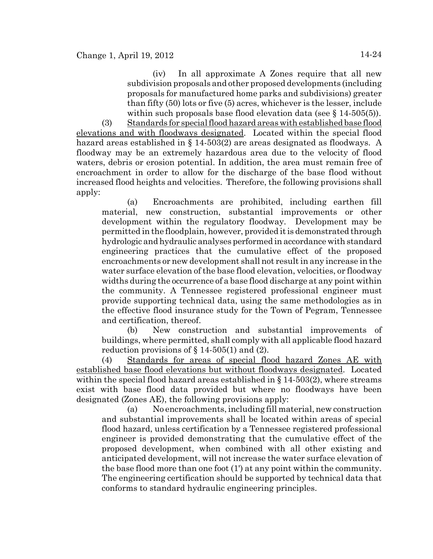(iv) In all approximate A Zones require that all new subdivision proposals and other proposed developments (including proposals for manufactured home parks and subdivisions) greater than fifty (50) lots or five (5) acres, whichever is the lesser, include within such proposals base flood elevation data (see  $\S$  14-505(5)).

(3) Standards for special flood hazard areas with established base flood elevations and with floodways designated. Located within the special flood hazard areas established in § 14-503(2) are areas designated as floodways. A floodway may be an extremely hazardous area due to the velocity of flood waters, debris or erosion potential. In addition, the area must remain free of encroachment in order to allow for the discharge of the base flood without increased flood heights and velocities. Therefore, the following provisions shall apply:

(a) Encroachments are prohibited, including earthen fill material, new construction, substantial improvements or other development within the regulatory floodway. Development may be permitted in the floodplain, however, provided it is demonstrated through hydrologic and hydraulic analyses performed in accordance with standard engineering practices that the cumulative effect of the proposed encroachments or new development shall not result in any increase in the water surface elevation of the base flood elevation, velocities, or floodway widths during the occurrence of a base flood discharge at any point within the community. A Tennessee registered professional engineer must provide supporting technical data, using the same methodologies as in the effective flood insurance study for the Town of Pegram, Tennessee and certification, thereof.

(b) New construction and substantial improvements of buildings, where permitted, shall comply with all applicable flood hazard reduction provisions of  $\S 14-505(1)$  and (2).

(4) Standards for areas of special flood hazard Zones AE with established base flood elevations but without floodways designated. Located within the special flood hazard areas established in § 14-503(2), where streams exist with base flood data provided but where no floodways have been designated (Zones AE), the following provisions apply:

(a) No encroachments, including fill material, new construction and substantial improvements shall be located within areas of special flood hazard, unless certification by a Tennessee registered professional engineer is provided demonstrating that the cumulative effect of the proposed development, when combined with all other existing and anticipated development, will not increase the water surface elevation of the base flood more than one foot (1') at any point within the community. The engineering certification should be supported by technical data that conforms to standard hydraulic engineering principles.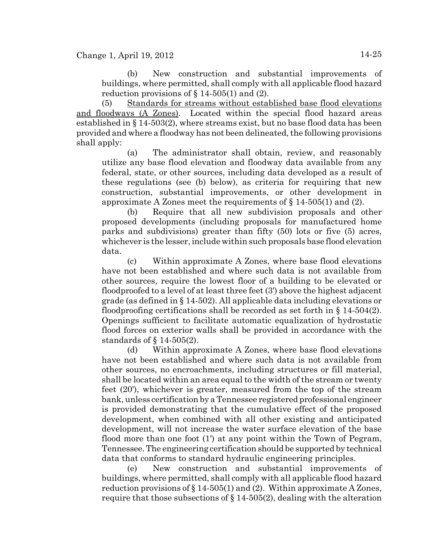(b) New construction and substantial improvements of buildings, where permitted, shall comply with all applicable flood hazard reduction provisions of  $\S 14-505(1)$  and (2).

(5) Standards for streams without established base flood elevations and floodways (A Zones). Located within the special flood hazard areas established in § 14-503(2), where streams exist, but no base flood data has been provided and where a floodway has not been delineated, the following provisions shall apply:

(a) The administrator shall obtain, review, and reasonably utilize any base flood elevation and floodway data available from any federal, state, or other sources, including data developed as a result of these regulations (see (b) below), as criteria for requiring that new construction, substantial improvements, or other development in approximate A Zones meet the requirements of § 14-505(1) and (2).

(b) Require that all new subdivision proposals and other proposed developments (including proposals for manufactured home parks and subdivisions) greater than fifty (50) lots or five (5) acres, whichever is the lesser, include within such proposals base flood elevation data.

(c) Within approximate A Zones, where base flood elevations have not been established and where such data is not available from other sources, require the lowest floor of a building to be elevated or floodproofed to a level of at least three feet (3') above the highest adjacent grade (as defined in § 14-502). All applicable data including elevations or floodproofing certifications shall be recorded as set forth in  $\S 14-504(2)$ . Openings sufficient to facilitate automatic equalization of hydrostatic flood forces on exterior walls shall be provided in accordance with the standards of § 14-505(2).

(d) Within approximate A Zones, where base flood elevations have not been established and where such data is not available from other sources, no encroachments, including structures or fill material, shall be located within an area equal to the width of the stream or twenty feet (20'), whichever is greater, measured from the top of the stream bank, unless certification by a Tennessee registered professional engineer is provided demonstrating that the cumulative effect of the proposed development, when combined with all other existing and anticipated development, will not increase the water surface elevation of the base flood more than one foot (1') at any point within the Town of Pegram, Tennessee. The engineering certification should be supported by technical data that conforms to standard hydraulic engineering principles.

(e) New construction and substantial improvements of buildings, where permitted, shall comply with all applicable flood hazard reduction provisions of  $\S 14-505(1)$  and (2). Within approximate A Zones, require that those subsections of § 14-505(2), dealing with the alteration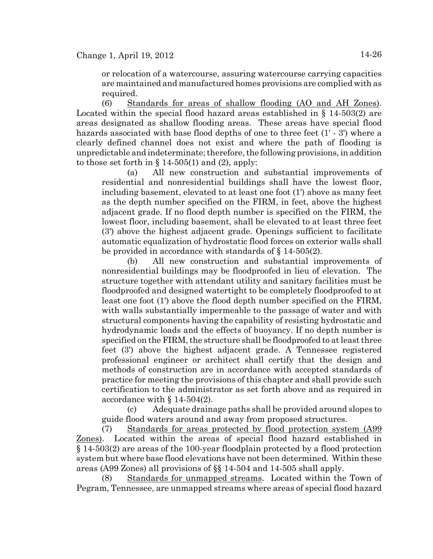or relocation of a watercourse, assuring watercourse carrying capacities are maintained and manufactured homes provisions are complied with as required.

(6) Standards for areas of shallow flooding (AO and AH Zones). Located within the special flood hazard areas established in § 14-503(2) are areas designated as shallow flooding areas. These areas have special flood hazards associated with base flood depths of one to three feet (1' - 3') where a clearly defined channel does not exist and where the path of flooding is unpredictable and indeterminate; therefore, the following provisions, in addition to those set forth in  $\S$  14-505(1) and (2), apply:

(a) All new construction and substantial improvements of residential and nonresidential buildings shall have the lowest floor, including basement, elevated to at least one foot (1') above as many feet as the depth number specified on the FIRM, in feet, above the highest adjacent grade. If no flood depth number is specified on the FIRM, the lowest floor, including basement, shall be elevated to at least three feet (3') above the highest adjacent grade. Openings sufficient to facilitate automatic equalization of hydrostatic flood forces on exterior walls shall be provided in accordance with standards of § 14-505(2).

(b) All new construction and substantial improvements of nonresidential buildings may be floodproofed in lieu of elevation. The structure together with attendant utility and sanitary facilities must be floodproofed and designed watertight to be completely floodproofed to at least one foot (1') above the flood depth number specified on the FIRM, with walls substantially impermeable to the passage of water and with structural components having the capability of resisting hydrostatic and hydrodynamic loads and the effects of buoyancy. If no depth number is specified on the FIRM, the structure shall be floodproofed to at least three feet (3') above the highest adjacent grade. A Tennessee registered professional engineer or architect shall certify that the design and methods of construction are in accordance with accepted standards of practice for meeting the provisions of this chapter and shall provide such certification to the administrator as set forth above and as required in accordance with § 14-504(2).

(c) Adequate drainage paths shall be provided around slopes to guide flood waters around and away from proposed structures.

(7) Standards for areas protected by flood protection system (A99 Zones). Located within the areas of special flood hazard established in § 14-503(2) are areas of the 100-year floodplain protected by a flood protection system but where base flood elevations have not been determined. Within these areas (A99 Zones) all provisions of §§ 14-504 and 14-505 shall apply.

(8) Standards for unmapped streams. Located within the Town of Pegram, Tennessee, are unmapped streams where areas of special flood hazard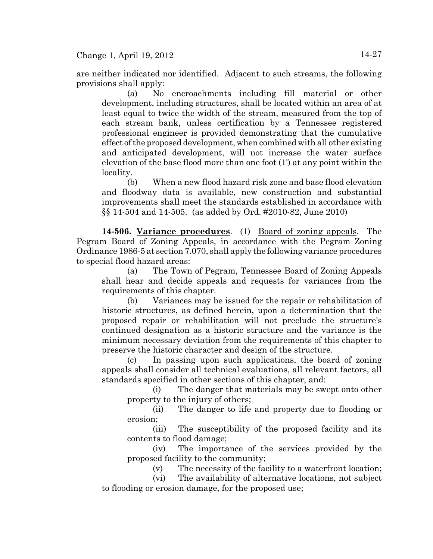are neither indicated nor identified. Adjacent to such streams, the following provisions shall apply:

(a) No encroachments including fill material or other development, including structures, shall be located within an area of at least equal to twice the width of the stream, measured from the top of each stream bank, unless certification by a Tennessee registered professional engineer is provided demonstrating that the cumulative effect of the proposed development, when combined with all other existing and anticipated development, will not increase the water surface elevation of the base flood more than one foot (1') at any point within the locality.

(b) When a new flood hazard risk zone and base flood elevation and floodway data is available, new construction and substantial improvements shall meet the standards established in accordance with §§ 14-504 and 14-505. (as added by Ord. #2010-82, June 2010)

**14-506. Variance procedures**. (1) Board of zoning appeals. The Pegram Board of Zoning Appeals, in accordance with the Pegram Zoning Ordinance 1986-5 at section 7.070, shall apply the following variance procedures to special flood hazard areas:

(a) The Town of Pegram, Tennessee Board of Zoning Appeals shall hear and decide appeals and requests for variances from the requirements of this chapter.

(b) Variances may be issued for the repair or rehabilitation of historic structures, as defined herein, upon a determination that the proposed repair or rehabilitation will not preclude the structure's continued designation as a historic structure and the variance is the minimum necessary deviation from the requirements of this chapter to preserve the historic character and design of the structure.

(c) In passing upon such applications, the board of zoning appeals shall consider all technical evaluations, all relevant factors, all standards specified in other sections of this chapter, and:

(i) The danger that materials may be swept onto other property to the injury of others;

(ii) The danger to life and property due to flooding or erosion;

(iii) The susceptibility of the proposed facility and its contents to flood damage;

(iv) The importance of the services provided by the proposed facility to the community;

(v) The necessity of the facility to a waterfront location;

(vi) The availability of alternative locations, not subject to flooding or erosion damage, for the proposed use;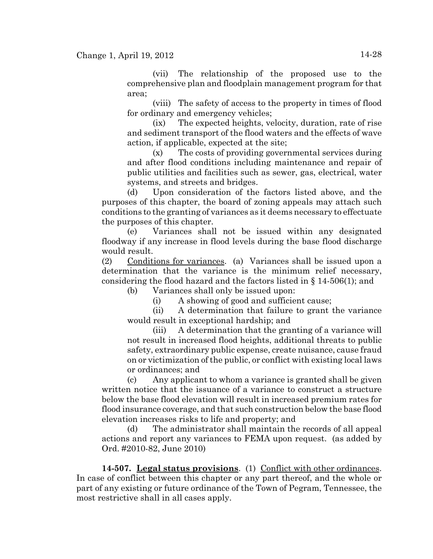(vii) The relationship of the proposed use to the comprehensive plan and floodplain management program for that area;

(viii) The safety of access to the property in times of flood for ordinary and emergency vehicles;

(ix) The expected heights, velocity, duration, rate of rise and sediment transport of the flood waters and the effects of wave action, if applicable, expected at the site;

(x) The costs of providing governmental services during and after flood conditions including maintenance and repair of public utilities and facilities such as sewer, gas, electrical, water systems, and streets and bridges.

(d) Upon consideration of the factors listed above, and the purposes of this chapter, the board of zoning appeals may attach such conditions to the granting of variances as it deems necessary to effectuate the purposes of this chapter.

(e) Variances shall not be issued within any designated floodway if any increase in flood levels during the base flood discharge would result.

(2) Conditions for variances. (a) Variances shall be issued upon a determination that the variance is the minimum relief necessary, considering the flood hazard and the factors listed in  $\S$  14-506(1); and

(b) Variances shall only be issued upon:

(i) A showing of good and sufficient cause;

(ii) A determination that failure to grant the variance would result in exceptional hardship; and

(iii) A determination that the granting of a variance will not result in increased flood heights, additional threats to public safety, extraordinary public expense, create nuisance, cause fraud on or victimization of the public, or conflict with existing local laws or ordinances; and

(c) Any applicant to whom a variance is granted shall be given written notice that the issuance of a variance to construct a structure below the base flood elevation will result in increased premium rates for flood insurance coverage, and that such construction below the base flood elevation increases risks to life and property; and

(d) The administrator shall maintain the records of all appeal actions and report any variances to FEMA upon request. (as added by Ord. #2010-82, June 2010)

**14-507. Legal status provisions**. (1) Conflict with other ordinances. In case of conflict between this chapter or any part thereof, and the whole or part of any existing or future ordinance of the Town of Pegram, Tennessee, the most restrictive shall in all cases apply.